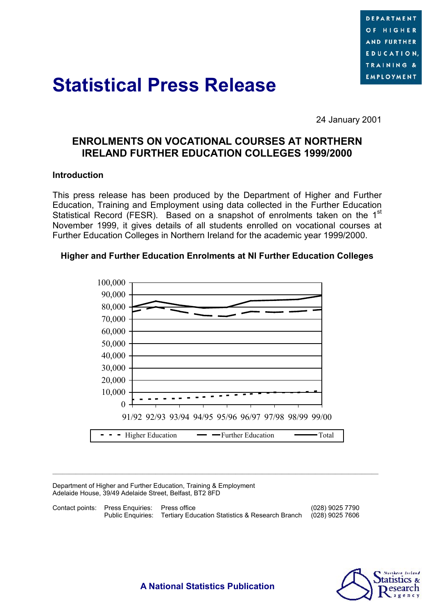

# **Statistical Press Release**

24 January 2001

## **ENROLMENTS ON VOCATIONAL COURSES AT NORTHERN IRELAND FURTHER EDUCATION COLLEGES 1999/2000**

#### **Introduction**

This press release has been produced by the Department of Higher and Further Education, Training and Employment using data collected in the Further Education Statistical Record (FESR). Based on a snapshot of enrolments taken on the 1<sup>st</sup> November 1999, it gives details of all students enrolled on vocational courses at Further Education Colleges in Northern Ireland for the academic year 1999/2000.

#### **Higher and Further Education Enrolments at NI Further Education Colleges**



Department of Higher and Further Education, Training & Employment Adelaide House, 39/49 Adelaide Street, Belfast, BT2 8FD

| Contact points: Press Enquiries: Press office |                                                                                   | (028) 9025 7790 |
|-----------------------------------------------|-----------------------------------------------------------------------------------|-----------------|
|                                               | Public Enguiries: Tertiary Education Statistics & Research Branch (028) 9025 7606 |                 |

 $\mathcal{L}_\text{max}$ 



**A National Statistics Publication**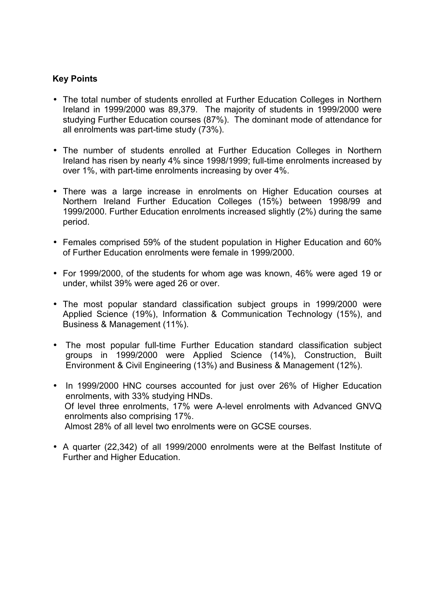## **Key Points**

- The total number of students enrolled at Further Education Colleges in Northern Ireland in 1999/2000 was 89,379. The majority of students in 1999/2000 were studying Further Education courses (87%). The dominant mode of attendance for all enrolments was part-time study (73%).
- The number of students enrolled at Further Education Colleges in Northern Ireland has risen by nearly 4% since 1998/1999; full-time enrolments increased by over 1%, with part-time enrolments increasing by over 4%.
- There was a large increase in enrolments on Higher Education courses at Northern Ireland Further Education Colleges (15%) between 1998/99 and 1999/2000. Further Education enrolments increased slightly (2%) during the same period.
- Females comprised 59% of the student population in Higher Education and 60% of Further Education enrolments were female in 1999/2000.
- For 1999/2000, of the students for whom age was known, 46% were aged 19 or under, whilst 39% were aged 26 or over.
- The most popular standard classification subject groups in 1999/2000 were Applied Science (19%), Information & Communication Technology (15%), and Business & Management (11%).
- The most popular full-time Further Education standard classification subject groups in 1999/2000 were Applied Science (14%), Construction, Built Environment & Civil Engineering (13%) and Business & Management (12%).
- In 1999/2000 HNC courses accounted for just over 26% of Higher Education enrolments, with 33% studying HNDs. Of level three enrolments, 17% were A-level enrolments with Advanced GNVQ enrolments also comprising 17%. Almost 28% of all level two enrolments were on GCSE courses.
- A quarter (22,342) of all 1999/2000 enrolments were at the Belfast Institute of Further and Higher Education.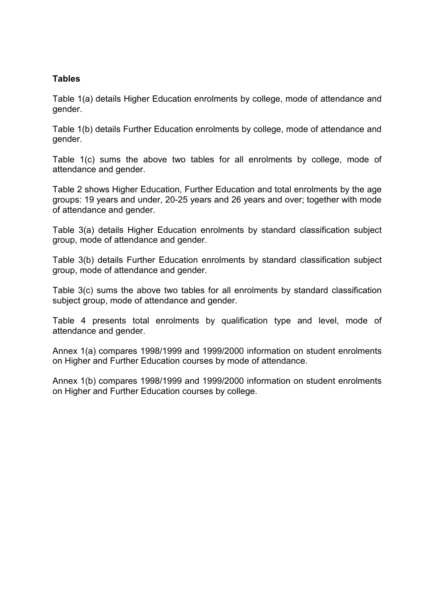### **Tables**

Table 1(a) details Higher Education enrolments by college, mode of attendance and gender.

Table 1(b) details Further Education enrolments by college, mode of attendance and gender.

Table 1(c) sums the above two tables for all enrolments by college, mode of attendance and gender.

Table 2 shows Higher Education, Further Education and total enrolments by the age groups: 19 years and under, 20-25 years and 26 years and over; together with mode of attendance and gender.

Table 3(a) details Higher Education enrolments by standard classification subject group, mode of attendance and gender.

Table 3(b) details Further Education enrolments by standard classification subject group, mode of attendance and gender.

Table 3(c) sums the above two tables for all enrolments by standard classification subject group, mode of attendance and gender.

Table 4 presents total enrolments by qualification type and level, mode of attendance and gender.

Annex 1(a) compares 1998/1999 and 1999/2000 information on student enrolments on Higher and Further Education courses by mode of attendance.

Annex 1(b) compares 1998/1999 and 1999/2000 information on student enrolments on Higher and Further Education courses by college.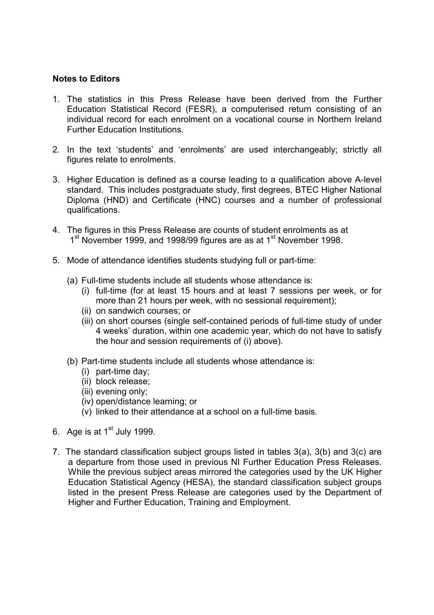#### **Notes to Editors**

- 1. The statistics in this Press Release have been derived from the Further Education Statistical Record (FESR), a computerised return consisting of an individual record for each enrolment on a vocational course in Northern Ireland Further Education Institutions.
- 2. In the text 'students' and 'enrolments' are used interchangeably; strictly all figures relate to enrolments.
- 3. Higher Education is defined as a course leading to a qualification above A-level standard. This includes postgraduate study, first degrees, BTEC Higher National Diploma (HND) and Certificate (HNC) courses and a number of professional qualifications.
- 4. The figures in this Press Release are counts of student enrolments as at 1<sup>st</sup> November 1999, and 1998/99 figures are as at 1<sup>st</sup> November 1998.
- 5. Mode of attendance identifies students studying full or part-time:
	- (a) Full-time students include all students whose attendance is:
		- (i) full-time (for at least 15 hours and at least 7 sessions per week, or for more than 21 hours per week, with no sessional requirement);
		- (ii) on sandwich courses; or
		- (iii) on short courses (single self-contained periods of full-time study of under 4 weeks' duration, within one academic year, which do not have to satisfy the hour and session requirements of (i) above).
	- (b) Part-time students include all students whose attendance is:
		- (i) part-time day;
		- (ii) block release;
		- (iii) evening only;
		- (iv) open/distance learning; or
		- (v) linked to their attendance at a school on a full-time basis.
- 6. Age is at  $1<sup>st</sup>$  July 1999.
- 7. The standard classification subject groups listed in tables 3(a), 3(b) and 3(c) are a departure from those used in previous NI Further Education Press Releases. While the previous subject areas mirrored the categories used by the UK Higher Education Statistical Agency (HESA), the standard classification subject groups listed in the present Press Release are categories used by the Department of Higher and Further Education, Training and Employment.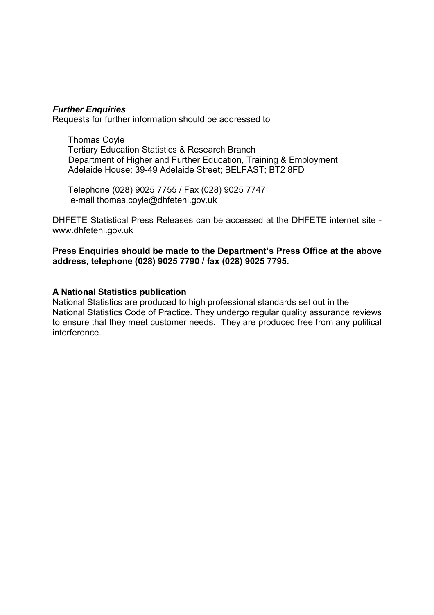#### *Further Enquiries*

Requests for further information should be addressed to

Thomas Coyle Tertiary Education Statistics & Research Branch Department of Higher and Further Education, Training & Employment Adelaide House; 39-49 Adelaide Street; BELFAST; BT2 8FD

Telephone (028) 9025 7755 / Fax (028) 9025 7747 e-mail thomas.coyle@dhfeteni.gov.uk

DHFETE Statistical Press Releases can be accessed at the DHFETE internet site www.dhfeteni.gov.uk

**Press Enquiries should be made to the Department's Press Office at the above address, telephone (028) 9025 7790 / fax (028) 9025 7795.**

#### **A National Statistics publication**

National Statistics are produced to high professional standards set out in the National Statistics Code of Practice. They undergo regular quality assurance reviews to ensure that they meet customer needs. They are produced free from any political interference.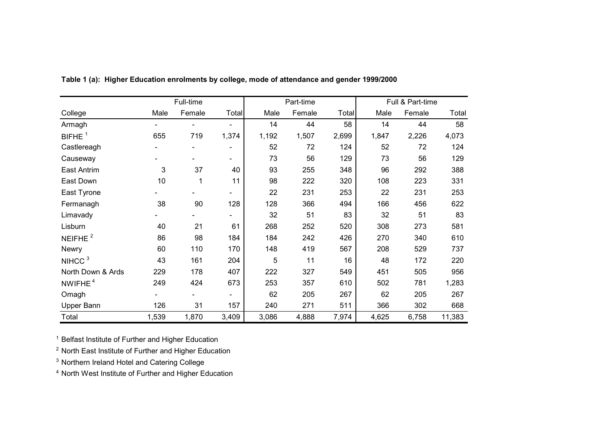|                     |       | Full-time |                          |       | Part-time |       |       | Full & Part-time |        |
|---------------------|-------|-----------|--------------------------|-------|-----------|-------|-------|------------------|--------|
| College             | Male  | Female    | Total                    | Male  | Female    | Total | Male  | Female           | Total  |
| Armagh              |       |           |                          | 14    | 44        | 58    | 14    | 44               | 58     |
| BIFHE <sup>1</sup>  | 655   | 719       | 1,374                    | 1,192 | 1,507     | 2,699 | 1,847 | 2,226            | 4,073  |
| Castlereagh         |       |           | $\overline{\phantom{0}}$ | 52    | 72        | 124   | 52    | 72               | 124    |
| Causeway            |       |           | $\overline{\phantom{0}}$ | 73    | 56        | 129   | 73    | 56               | 129    |
| <b>East Antrim</b>  | 3     | 37        | 40                       | 93    | 255       | 348   | 96    | 292              | 388    |
| East Down           | 10    | 1         | 11                       | 98    | 222       | 320   | 108   | 223              | 331    |
| East Tyrone         |       |           | -                        | 22    | 231       | 253   | 22    | 231              | 253    |
| Fermanagh           | 38    | 90        | 128                      | 128   | 366       | 494   | 166   | 456              | 622    |
| Limavady            |       |           | $\overline{\phantom{0}}$ | 32    | 51        | 83    | 32    | 51               | 83     |
| Lisburn             | 40    | 21        | 61                       | 268   | 252       | 520   | 308   | 273              | 581    |
| NEIFHE $2$          | 86    | 98        | 184                      | 184   | 242       | 426   | 270   | 340              | 610    |
| Newry               | 60    | 110       | 170                      | 148   | 419       | 567   | 208   | 529              | 737    |
| NIHCC <sup>3</sup>  | 43    | 161       | 204                      | 5     | 11        | 16    | 48    | 172              | 220    |
| North Down & Ards   | 229   | 178       | 407                      | 222   | 327       | 549   | 451   | 505              | 956    |
| NWIFHE <sup>4</sup> | 249   | 424       | 673                      | 253   | 357       | 610   | 502   | 781              | 1,283  |
| Omagh               |       |           | $\blacksquare$           | 62    | 205       | 267   | 62    | 205              | 267    |
| Upper Bann          | 126   | 31        | 157                      | 240   | 271       | 511   | 366   | 302              | 668    |
| Total               | 1,539 | 1,870     | 3,409                    | 3,086 | 4,888     | 7,974 | 4,625 | 6,758            | 11,383 |

**Table 1 (a): Higher Education enrolments by college, mode of attendance and gender 1999/2000**

<sup>1</sup> Belfast Institute of Further and Higher Education

<sup>2</sup> North East Institute of Further and Higher Education

<sup>3</sup> Northern Ireland Hotel and Catering College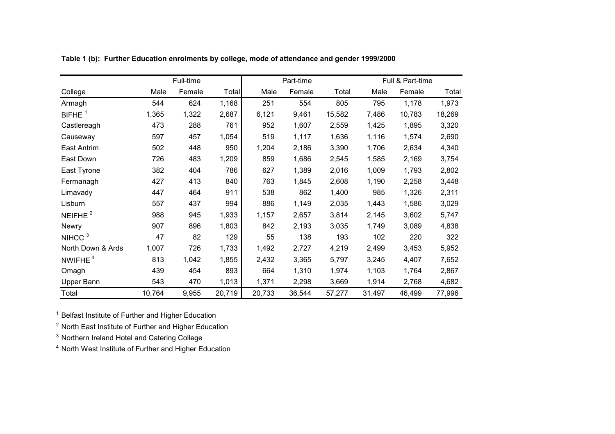|                     |        | Full-time |        |        | Part-time |        | Full & Part-time |        |        |  |
|---------------------|--------|-----------|--------|--------|-----------|--------|------------------|--------|--------|--|
| College             | Male   | Female    | Total  | Male   | Female    | Total  | Male             | Female | Total  |  |
| Armagh              | 544    | 624       | 1,168  | 251    | 554       | 805    | 795              | 1,178  | 1,973  |  |
| BIFHE $1$           | 1,365  | 1,322     | 2,687  | 6,121  | 9,461     | 15,582 | 7,486            | 10,783 | 18,269 |  |
| Castlereagh         | 473    | 288       | 761    | 952    | 1,607     | 2,559  | 1,425            | 1,895  | 3,320  |  |
| Causeway            | 597    | 457       | 1,054  | 519    | 1,117     | 1,636  | 1,116            | 1,574  | 2,690  |  |
| <b>East Antrim</b>  | 502    | 448       | 950    | 1,204  | 2,186     | 3,390  | 1,706            | 2,634  | 4,340  |  |
| East Down           | 726    | 483       | 1,209  | 859    | 1,686     | 2,545  | 1,585            | 2,169  | 3,754  |  |
| East Tyrone         | 382    | 404       | 786    | 627    | 1,389     | 2,016  | 1,009            | 1,793  | 2,802  |  |
| Fermanagh           | 427    | 413       | 840    | 763    | 1,845     | 2,608  | 1,190            | 2,258  | 3,448  |  |
| Limavady            | 447    | 464       | 911    | 538    | 862       | 1,400  | 985              | 1,326  | 2,311  |  |
| Lisburn             | 557    | 437       | 994    | 886    | 1,149     | 2,035  | 1,443            | 1,586  | 3,029  |  |
| NEIFHE $2$          | 988    | 945       | 1,933  | 1,157  | 2,657     | 3,814  | 2,145            | 3,602  | 5,747  |  |
| Newry               | 907    | 896       | 1,803  | 842    | 2,193     | 3,035  | 1,749            | 3,089  | 4,838  |  |
| NIHCC <sup>3</sup>  | 47     | 82        | 129    | 55     | 138       | 193    | 102              | 220    | 322    |  |
| North Down & Ards   | 1,007  | 726       | 1,733  | 1,492  | 2,727     | 4,219  | 2,499            | 3,453  | 5,952  |  |
| NWIFHE <sup>4</sup> | 813    | 1,042     | 1,855  | 2,432  | 3,365     | 5,797  | 3,245            | 4,407  | 7,652  |  |
| Omagh               | 439    | 454       | 893    | 664    | 1,310     | 1,974  | 1,103            | 1,764  | 2,867  |  |
| Upper Bann          | 543    | 470       | 1,013  | 1,371  | 2,298     | 3,669  | 1,914            | 2,768  | 4,682  |  |
| Total               | 10,764 | 9,955     | 20,719 | 20,733 | 36,544    | 57,277 | 31,497           | 46,499 | 77,996 |  |

**Table 1 (b): Further Education enrolments by college, mode of attendance and gender 1999/2000**

<sup>1</sup> Belfast Institute of Further and Higher Education

<sup>2</sup> North East Institute of Further and Higher Education

 $3$  Northern Ireland Hotel and Catering College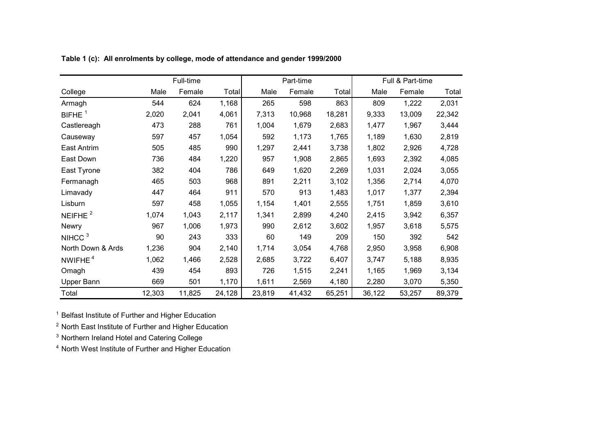|                     |        | Full-time |        |        | Part-time |        |        | Full & Part-time |        |
|---------------------|--------|-----------|--------|--------|-----------|--------|--------|------------------|--------|
| College             | Male   | Female    | Total  | Male   | Female    | Total  | Male   | Female           | Total  |
| Armagh              | 544    | 624       | 1,168  | 265    | 598       | 863    | 809    | 1,222            | 2,031  |
| BIFHE $1$           | 2,020  | 2,041     | 4,061  | 7,313  | 10,968    | 18,281 | 9,333  | 13,009           | 22,342 |
| Castlereagh         | 473    | 288       | 761    | 1,004  | 1,679     | 2,683  | 1,477  | 1,967            | 3,444  |
| Causeway            | 597    | 457       | 1,054  | 592    | 1,173     | 1,765  | 1,189  | 1,630            | 2,819  |
| East Antrim         | 505    | 485       | 990    | 1,297  | 2,441     | 3,738  | 1,802  | 2,926            | 4,728  |
| East Down           | 736    | 484       | 1,220  | 957    | 1,908     | 2,865  | 1,693  | 2,392            | 4,085  |
| East Tyrone         | 382    | 404       | 786    | 649    | 1,620     | 2,269  | 1,031  | 2,024            | 3,055  |
| Fermanagh           | 465    | 503       | 968    | 891    | 2,211     | 3,102  | 1,356  | 2,714            | 4,070  |
| Limavady            | 447    | 464       | 911    | 570    | 913       | 1,483  | 1,017  | 1,377            | 2,394  |
| Lisburn             | 597    | 458       | 1,055  | 1,154  | 1,401     | 2,555  | 1,751  | 1,859            | 3,610  |
| NEIFHE <sup>2</sup> | 1,074  | 1,043     | 2,117  | 1,341  | 2,899     | 4,240  | 2,415  | 3,942            | 6,357  |
| <b>Newry</b>        | 967    | 1,006     | 1,973  | 990    | 2,612     | 3,602  | 1,957  | 3,618            | 5,575  |
| NIHCC <sup>3</sup>  | 90     | 243       | 333    | 60     | 149       | 209    | 150    | 392              | 542    |
| North Down & Ards   | 1,236  | 904       | 2,140  | 1,714  | 3,054     | 4,768  | 2,950  | 3,958            | 6,908  |
| NWIFHE <sup>4</sup> | 1,062  | 1,466     | 2,528  | 2,685  | 3,722     | 6,407  | 3,747  | 5,188            | 8,935  |
| Omagh               | 439    | 454       | 893    | 726    | 1,515     | 2,241  | 1,165  | 1,969            | 3,134  |
| Upper Bann          | 669    | 501       | 1,170  | 1,611  | 2,569     | 4,180  | 2,280  | 3,070            | 5,350  |
| Total               | 12,303 | 11,825    | 24,128 | 23,819 | 41,432    | 65,251 | 36,122 | 53,257           | 89,379 |

**Table 1 (c): All enrolments by college, mode of attendance and gender 1999/2000**

<sup>1</sup> Belfast Institute of Further and Higher Education

<sup>2</sup> North East Institute of Further and Higher Education

 $3$  Northern Ireland Hotel and Catering College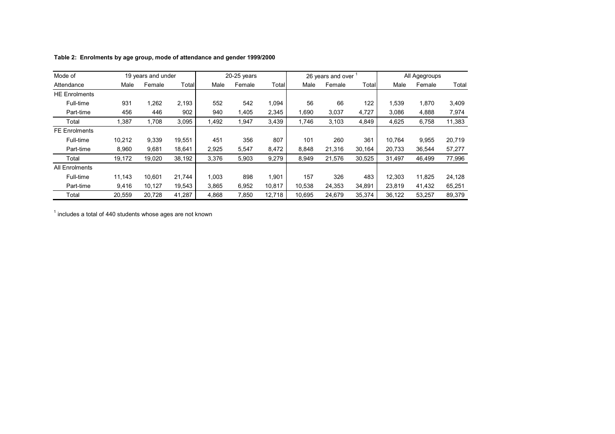| Mode of               |        | 19 years and under |        |       | $20-25$ years |        |        | 26 years and over |        |        | All Agegroups |        |
|-----------------------|--------|--------------------|--------|-------|---------------|--------|--------|-------------------|--------|--------|---------------|--------|
| Attendance            | Male   | Female             | Total  | Male  | Female        | Total  | Male   | Female            | Total  | Male   | Female        | Total  |
| <b>HE Enrolments</b>  |        |                    |        |       |               |        |        |                   |        |        |               |        |
| Full-time             | 931    | 1,262              | 2,193  | 552   | 542           | 1,094  | 56     | 66                | 122    | 1,539  | 1,870         | 3,409  |
| Part-time             | 456    | 446                | 902    | 940   | 1,405         | 2,345  | 1.690  | 3,037             | 4,727  | 3.086  | 4,888         | 7,974  |
| Total                 | 1,387  | 1,708              | 3,095  | 1,492 | 1,947         | 3,439  | 1,746  | 3,103             | 4,849  | 4,625  | 6,758         | 11,383 |
| <b>FE Enrolments</b>  |        |                    |        |       |               |        |        |                   |        |        |               |        |
| Full-time             | 10,212 | 9,339              | 19,551 | 451   | 356           | 807    | 101    | 260               | 361    | 10.764 | 9,955         | 20,719 |
| Part-time             | 8,960  | 9.681              | 18.641 | 2,925 | 5,547         | 8,472  | 8.848  | 21,316            | 30,164 | 20,733 | 36,544        | 57,277 |
| Total                 | 19,172 | 19,020             | 38,192 | 3,376 | 5,903         | 9,279  | 8,949  | 21,576            | 30,525 | 31,497 | 46,499        | 77,996 |
| <b>All Enrolments</b> |        |                    |        |       |               |        |        |                   |        |        |               |        |
| Full-time             | 11,143 | 10,601             | 21,744 | 1,003 | 898           | 1,901  | 157    | 326               | 483    | 12,303 | 11,825        | 24,128 |
| Part-time             | 9,416  | 10,127             | 19,543 | 3,865 | 6,952         | 10,817 | 10,538 | 24,353            | 34,891 | 23,819 | 41,432        | 65,251 |
| Total                 | 20,559 | 20.728             | 41,287 | 4,868 | 7,850         | 12,718 | 10.695 | 24,679            | 35,374 | 36,122 | 53,257        | 89,379 |

**Table 2: Enrolments by age group, mode of attendance and gender 1999/2000**

 $<sup>1</sup>$  includes a total of 440 students whose ages are not known</sup>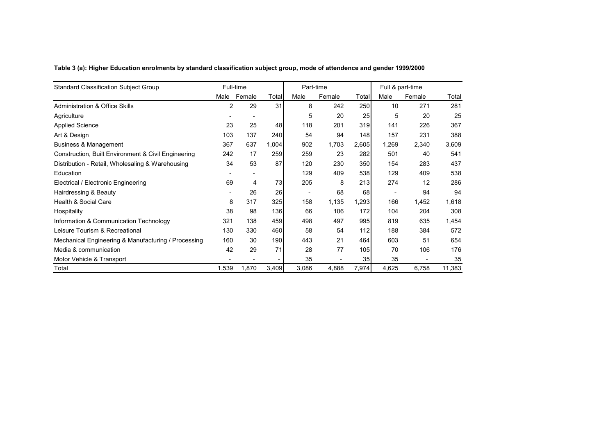**Table 3 (a): Higher Education enrolments by standard classification subject group, mode of attendence and gender 1999/2000**

| <b>Standard Classification Subject Group</b>        |                | Full-time |            | Part-time |        |                 |       | Full & part-time |        |
|-----------------------------------------------------|----------------|-----------|------------|-----------|--------|-----------------|-------|------------------|--------|
|                                                     | Male           | Female    | Totall     | Male      | Female | Total           | Male  | Female           | Total  |
| <b>Administration &amp; Office Skills</b>           | $\overline{2}$ | 29        | 31         | 8         | 242    | 250             | 10    | 271              | 281    |
| Agriculture                                         |                |           |            | 5         | 20     | 25              | 5     | 20               | 25     |
| <b>Applied Science</b>                              | 23             | 25        | 48         | 118       | 201    | 319             | 141   | 226              | 367    |
| Art & Design                                        | 103            | 137       | <b>240</b> | 54        | 94     | 148             | 157   | 231              | 388    |
| Business & Management                               | 367            | 637       | 1,004      | 902       | 1,703  | 2,605           | 1,269 | 2,340            | 3,609  |
| Construction, Built Environment & Civil Engineering | 242            | 17        | 259        | 259       | 23     | 282             | 501   | 40               | 541    |
| Distribution - Retail, Wholesaling & Warehousing    | 34             | 53        | 87         | 120       | 230    | 350             | 154   | 283              | 437    |
| Education                                           |                | ۰.        |            | 129       | 409    | 538             | 129   | 409              | 538    |
| Electrical / Electronic Engineering                 | 69             | 4         | 73         | 205       | 8      | 213             | 274   | 12               | 286    |
| Hairdressing & Beauty                               |                | 26        | 26         |           | 68     | 68              |       | 94               | 94     |
| Health & Social Care                                | 8              | 317       | 325        | 158       | 1,135  | 1,293           | 166   | 1,452            | 1,618  |
| Hospitality                                         | 38             | 98        | 136        | 66        | 106    | 172             | 104   | 204              | 308    |
| Information & Communication Technology              | 321            | 138       | 459        | 498       | 497    | 995             | 819   | 635              | 1,454  |
| Leisure Tourism & Recreational                      | 130            | 330       | 460        | 58        | 54     | 112             | 188   | 384              | 572    |
| Mechanical Engineering & Manufacturing / Processing | 160            | 30        | 190        | 443       | 21     | 464             | 603   | 51               | 654    |
| Media & communication                               | 42             | 29        | 71         | 28        | 77     | 105             | 70    | 106              | 176    |
| Motor Vehicle & Transport                           |                |           |            | 35        |        | 35 <sub>l</sub> | 35    |                  | 35     |
| Total                                               | 1,539          | 1,870     | 3,409      | 3,086     | 4,888  | 7,974           | 4,625 | 6,758            | 11,383 |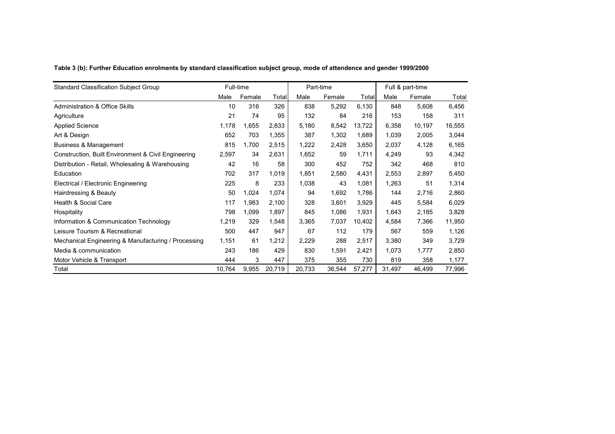| Table 3 (b): Further Education enrolments by standard classification subject group, mode of attendence and gender 1999/2000 |  |  |
|-----------------------------------------------------------------------------------------------------------------------------|--|--|
|                                                                                                                             |  |  |

| <b>Standard Classification Subject Group</b>        | Full-time |        |        |        | Part-time |        | Full & part-time |        |        |
|-----------------------------------------------------|-----------|--------|--------|--------|-----------|--------|------------------|--------|--------|
|                                                     | Male      | Female | Total  | Male   | Female    | Total  | Male             | Female | Total  |
| <b>Administration &amp; Office Skills</b>           | 10        | 316    | 326    | 838    | 5,292     | 6,130  | 848              | 5,608  | 6,456  |
| Agriculture                                         | 21        | 74     | 95     | 132    | 84        | 216    | 153              | 158    | 311    |
| <b>Applied Science</b>                              | 1,178     | 1,655  | 2,833  | 5,180  | 8,542     | 13,722 | 6,358            | 10,197 | 16,555 |
| Art & Design                                        | 652       | 703    | 1,355  | 387    | 1,302     | 1,689  | 1,039            | 2,005  | 3,044  |
| <b>Business &amp; Management</b>                    | 815       | 1,700  | 2,515  | 1,222  | 2,428     | 3,650  | 2,037            | 4,128  | 6,165  |
| Construction, Built Environment & Civil Engineering | 2,597     | 34     | 2,631  | 1,652  | 59        | 1,711  | 4,249            | 93     | 4,342  |
| Distribution - Retail, Wholesaling & Warehousing    | 42        | 16     | 58     | 300    | 452       | 752    | 342              | 468    | 810    |
| Education                                           | 702       | 317    | 1,019  | 1,851  | 2,580     | 4,431  | 2,553            | 2,897  | 5,450  |
| Electrical / Electronic Engineering                 | 225       | 8      | 233    | 1,038  | 43        | 1,081  | 1,263            | 51     | 1,314  |
| Hairdressing & Beauty                               | 50        | 1,024  | 1,074  | 94     | 1,692     | 1,786  | 144              | 2,716  | 2,860  |
| Health & Social Care                                | 117       | 1,983  | 2,100  | 328    | 3,601     | 3,929  | 445              | 5,584  | 6,029  |
| Hospitality                                         | 798       | 1,099  | 1,897  | 845    | 1,086     | 1,931  | 1,643            | 2,185  | 3,828  |
| Information & Communication Technology              | 1,219     | 329    | 1,548  | 3,365  | 7,037     | 10,402 | 4,584            | 7,366  | 11,950 |
| Leisure Tourism & Recreational                      | 500       | 447    | 947    | 67     | 112       | 179    | 567              | 559    | 1,126  |
| Mechanical Engineering & Manufacturing / Processing | 1,151     | 61     | 1,212  | 2,229  | 288       | 2,517  | 3,380            | 349    | 3,729  |
| Media & communication                               | 243       | 186    | 429    | 830    | 1,591     | 2,421  | 1,073            | 1,777  | 2,850  |
| Motor Vehicle & Transport                           | 444       | 3      | 447    | 375    | 355       | 730    | 819              | 358    | 1,177  |
| Total                                               | 10,764    | 9,955  | 20,719 | 20,733 | 36,544    | 57,277 | 31,497           | 46,499 | 77,996 |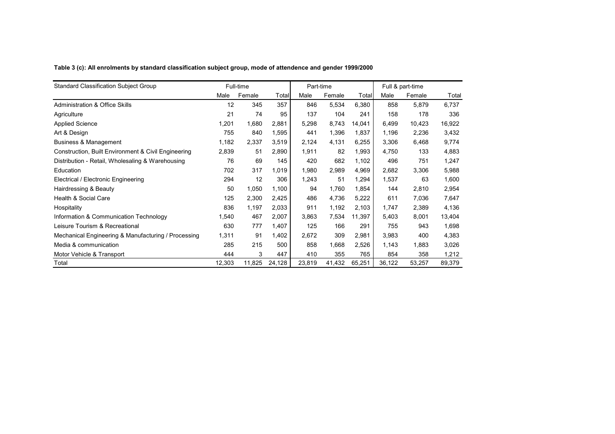**Table 3 (c): All enrolments by standard classification subject group, mode of attendence and gender 1999/2000**

| <b>Standard Classification Subject Group</b>        |        | Full-time |        | Part-time |        |        | Full & part-time |        |        |
|-----------------------------------------------------|--------|-----------|--------|-----------|--------|--------|------------------|--------|--------|
|                                                     | Male   | Female    | Total  | Male      | Female | Total  | Male             | Female | Total  |
| <b>Administration &amp; Office Skills</b>           | 12     | 345       | 357    | 846       | 5,534  | 6,380  | 858              | 5,879  | 6,737  |
| Agriculture                                         | 21     | 74        | 95     | 137       | 104    | 241    | 158              | 178    | 336    |
| <b>Applied Science</b>                              | 1,201  | 1,680     | 2,881  | 5,298     | 8,743  | 14,041 | 6,499            | 10,423 | 16,922 |
| Art & Design                                        | 755    | 840       | 1,595  | 441       | 1,396  | 1,837  | 1,196            | 2,236  | 3,432  |
| <b>Business &amp; Management</b>                    | 1,182  | 2,337     | 3,519  | 2,124     | 4,131  | 6,255  | 3,306            | 6,468  | 9,774  |
| Construction, Built Environment & Civil Engineering | 2,839  | 51        | 2,890  | 1,911     | 82     | 1,993  | 4,750            | 133    | 4,883  |
| Distribution - Retail, Wholesaling & Warehousing    | 76     | 69        | 145    | 420       | 682    | 1,102  | 496              | 751    | 1,247  |
| Education                                           | 702    | 317       | 1,019  | 1,980     | 2,989  | 4,969  | 2,682            | 3,306  | 5,988  |
| Electrical / Electronic Engineering                 | 294    | 12        | 306    | 1,243     | 51     | 1,294  | 1,537            | 63     | 1,600  |
| Hairdressing & Beauty                               | 50     | 1,050     | 1,100  | 94        | 1,760  | 1,854  | 144              | 2,810  | 2,954  |
| Health & Social Care                                | 125    | 2,300     | 2,425  | 486       | 4,736  | 5,222  | 611              | 7,036  | 7,647  |
| Hospitality                                         | 836    | 1,197     | 2,033  | 911       | 1,192  | 2,103  | 1,747            | 2,389  | 4,136  |
| Information & Communication Technology              | 1,540  | 467       | 2,007  | 3,863     | 7,534  | 11,397 | 5,403            | 8,001  | 13,404 |
| Leisure Tourism & Recreational                      | 630    | 777       | 1,407  | 125       | 166    | 291    | 755              | 943    | 1,698  |
| Mechanical Engineering & Manufacturing / Processing | 1,311  | 91        | 1,402  | 2,672     | 309    | 2,981  | 3,983            | 400    | 4,383  |
| Media & communication                               | 285    | 215       | 500    | 858       | 1,668  | 2,526  | 1,143            | 1,883  | 3,026  |
| Motor Vehicle & Transport                           | 444    | 3         | 447    | 410       | 355    | 765    | 854              | 358    | 1,212  |
| Total                                               | 12,303 | 11,825    | 24,128 | 23,819    | 41,432 | 65,251 | 36,122           | 53,257 | 89,379 |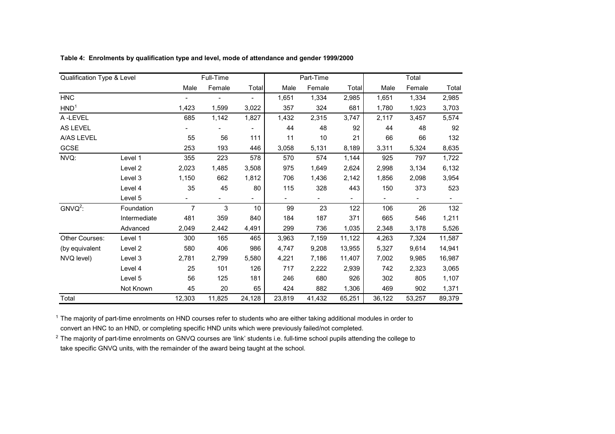| Qualification Type & Level |              |                | Full-Time |                          |                          | Part-Time      |                |                | Total                    |        |
|----------------------------|--------------|----------------|-----------|--------------------------|--------------------------|----------------|----------------|----------------|--------------------------|--------|
|                            |              | Male           | Female    | Total                    | Male                     | Female         | Total          | Male           | Female                   | Total  |
| <b>HNC</b>                 |              |                |           | $\overline{\phantom{0}}$ | 1,651                    | 1,334          | 2,985          | 1,651          | 1,334                    | 2,985  |
| HND <sup>1</sup>           |              | 1,423          | 1,599     | 3,022                    | 357                      | 324            | 681            | 1,780          | 1,923                    | 3,703  |
| A-LEVEL                    |              | 685            | 1,142     | 1,827                    | 1,432                    | 2,315          | 3,747          | 2,117          | 3,457                    | 5,574  |
| <b>AS LEVEL</b>            |              |                |           | $\overline{\phantom{0}}$ | 44                       | 48             | 92             | 44             | 48                       | 92     |
| A/AS LEVEL                 |              | 55             | 56        | 111                      | 11                       | 10             | 21             | 66             | 66                       | 132    |
| GCSE                       |              | 253            | 193       | 446                      | 3,058                    | 5,131          | 8,189          | 3,311          | 5,324                    | 8,635  |
| NVQ:                       | Level 1      | 355            | 223       | 578                      | 570                      | 574            | 1,144          | 925            | 797                      | 1,722  |
|                            | Level 2      | 2,023          | 1,485     | 3,508                    | 975                      | 1,649          | 2,624          | 2,998          | 3,134                    | 6,132  |
|                            | Level 3      | 1,150          | 662       | 1,812                    | 706                      | 1,436          | 2,142          | 1,856          | 2,098                    | 3,954  |
|                            | Level 4      | 35             | 45        | 80                       | 115                      | 328            | 443            | 150            | 373                      | 523    |
|                            | Level 5      |                |           |                          | $\overline{\phantom{a}}$ | $\blacksquare$ | $\blacksquare$ | $\blacksquare$ | $\overline{\phantom{0}}$ |        |
| $GNVO2$ :                  | Foundation   | $\overline{7}$ | 3         | 10                       | 99                       | 23             | 122            | 106            | 26                       | 132    |
|                            | Intermediate | 481            | 359       | 840                      | 184                      | 187            | 371            | 665            | 546                      | 1,211  |
|                            | Advanced     | 2,049          | 2,442     | 4,491                    | 299                      | 736            | 1,035          | 2,348          | 3,178                    | 5,526  |
| <b>Other Courses:</b>      | Level 1      | 300            | 165       | 465                      | 3,963                    | 7,159          | 11,122         | 4,263          | 7,324                    | 11,587 |
| (by equivalent             | Level 2      | 580            | 406       | 986                      | 4,747                    | 9,208          | 13,955         | 5,327          | 9,614                    | 14,941 |
| NVQ level)                 | Level 3      | 2,781          | 2,799     | 5,580                    | 4,221                    | 7,186          | 11,407         | 7,002          | 9,985                    | 16,987 |
|                            | Level 4      | 25             | 101       | 126                      | 717                      | 2,222          | 2,939          | 742            | 2,323                    | 3,065  |
|                            | Level 5      | 56             | 125       | 181                      | 246                      | 680            | 926            | 302            | 805                      | 1,107  |
|                            | Not Known    | 45             | 20        | 65                       | 424                      | 882            | 1,306          | 469            | 902                      | 1,371  |
| Total                      |              | 12,303         | 11,825    | 24,128                   | 23,819                   | 41,432         | 65,251         | 36,122         | 53,257                   | 89,379 |

**Table 4: Enrolments by qualification type and level, mode of attendance and gender 1999/2000**

 $1$  The majority of part-time enrolments on HND courses refer to students who are either taking additional modules in order to convert an HNC to an HND, or completing specific HND units which were previously failed/not completed.

 $^2$  The majority of part-time enrolments on GNVQ courses are 'link' students i.e. full-time school pupils attending the college to take specific GNVQ units, with the remainder of the award being taught at the school.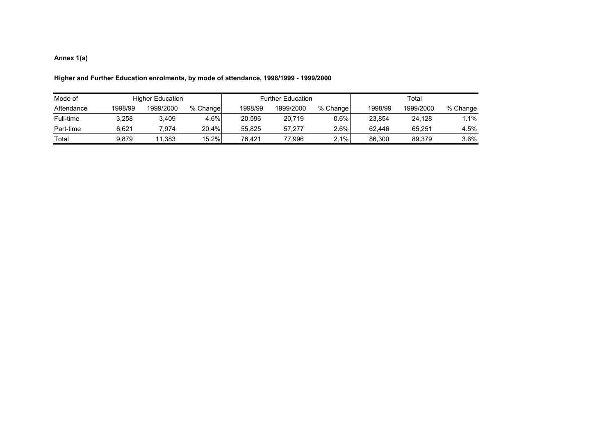#### **Annex 1(a)**

#### **Higher and Further Education enrolments, by mode of attendance, 1998/1999 - 1999/2000**

| Mode of    |         | <b>Higher Education</b> |          |         | <b>Further Education</b> |          | Total   |           |          |  |
|------------|---------|-------------------------|----------|---------|--------------------------|----------|---------|-----------|----------|--|
| Attendance | 1998/99 | 1999/2000               | % Change | 1998/99 | 1999/2000                | % Change | 1998/99 | 1999/2000 | % Change |  |
| Full-time  | 3.258   | 3.409                   | 4.6%     | 20.596  | 20,719                   | $0.6\%$  | 23.854  | 24,128    | $.1\%$   |  |
| Part-time  | 6.621   | 7.974                   | $20.4\%$ | 55.825  | 57.277                   | $2.6\%$  | 62.446  | 65.251    | 4.5%     |  |
| Total      | 9.879   | 11,383                  | 15.2%    | 76.421  | 77,996                   | 2.1%     | 86,300  | 89,379    | $3.6\%$  |  |